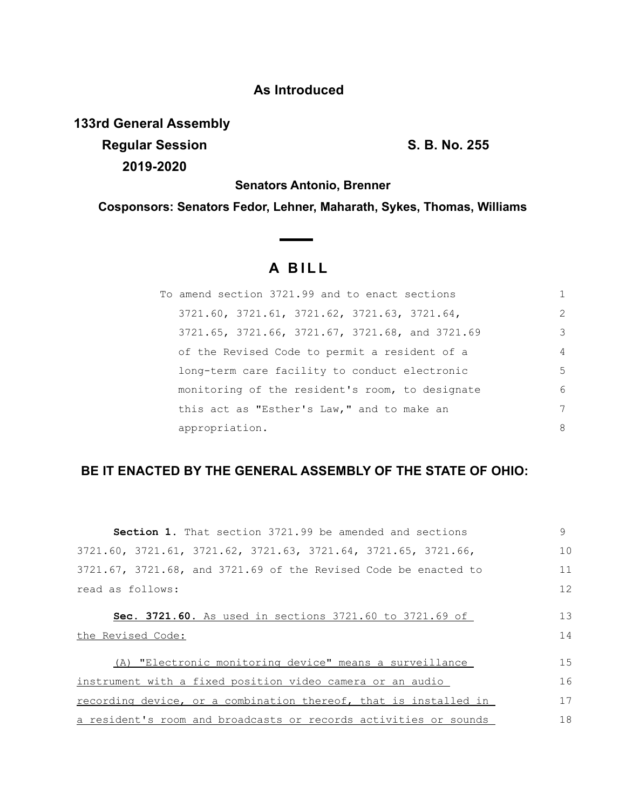## **As Introduced**

**133rd General Assembly**

**Regular Session S. B. No. 255 2019-2020**

**Senators Antonio, Brenner**

**Cosponsors: Senators Fedor, Lehner, Maharath, Sykes, Thomas, Williams**

 $\overline{\phantom{a}}$ 

## **A B I L L**

| To amend section 3721.99 and to enact sections  |               |
|-------------------------------------------------|---------------|
| 3721.60, 3721.61, 3721.62, 3721.63, 3721.64,    | $\mathcal{L}$ |
| 3721.65, 3721.66, 3721.67, 3721.68, and 3721.69 | 3             |
| of the Revised Code to permit a resident of a   | 4             |
| long-term care facility to conduct electronic   | 5             |
| monitoring of the resident's room, to designate | 6             |
| this act as "Esther's Law," and to make an      | 7             |
| appropriation.                                  | 8             |

## **BE IT ENACTED BY THE GENERAL ASSEMBLY OF THE STATE OF OHIO:**

| <b>Section 1.</b> That section 3721.99 be amended and sections               | 9        |
|------------------------------------------------------------------------------|----------|
| 3721.60, 3721.61, 3721.62, 3721.63, 3721.64, 3721.65, 3721.66,               | 10       |
| $3721.67$ , $3721.68$ , and $3721.69$ of the Revised Code be enacted to      | 11       |
| read as follows:                                                             | 12       |
| Sec. 3721.60. As used in sections 3721.60 to 3721.69 of<br>the Revised Code: | 13<br>14 |
| (A) "Electronic monitoring device" means a surveillance                      | 15       |
| instrument with a fixed position video camera or an audio                    | 16       |
| recording device, or a combination thereof, that is installed in             | 17       |
| a resident's room and broadcasts or records activities or sounds             | 18       |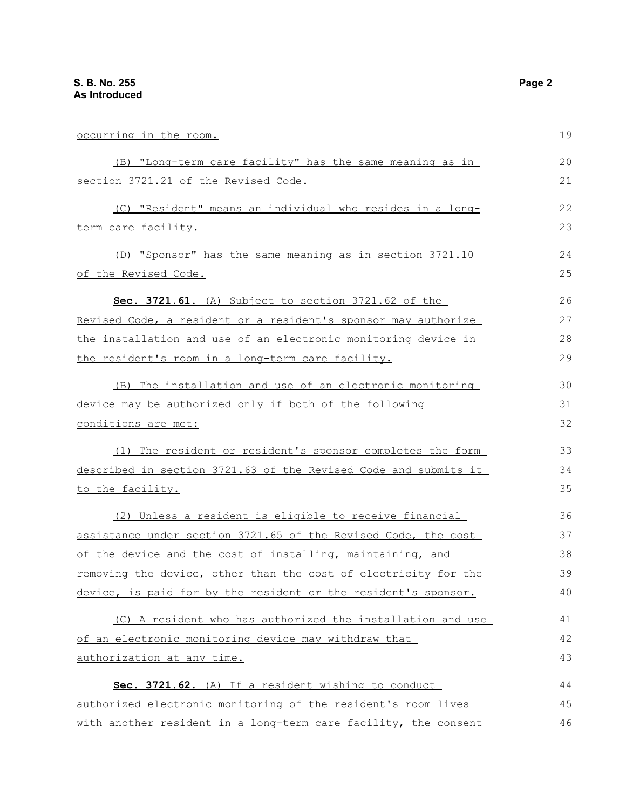occurring in the room. (B) "Long-term care facility" has the same meaning as in section 3721.21 of the Revised Code. (C) "Resident" means an individual who resides in a longterm care facility. (D) "Sponsor" has the same meaning as in section 3721.10 of the Revised Code. **Sec. 3721.61.** (A) Subject to section 3721.62 of the Revised Code, a resident or a resident's sponsor may authorize the installation and use of an electronic monitoring device in the resident's room in a long-term care facility. (B) The installation and use of an electronic monitoring device may be authorized only if both of the following conditions are met: (1) The resident or resident's sponsor completes the form described in section 3721.63 of the Revised Code and submits it to the facility. (2) Unless a resident is eligible to receive financial assistance under section 3721.65 of the Revised Code, the cost of the device and the cost of installing, maintaining, and removing the device, other than the cost of electricity for the device, is paid for by the resident or the resident's sponsor. (C) A resident who has authorized the installation and use of an electronic monitoring device may withdraw that authorization at any time. **Sec. 3721.62.** (A) If a resident wishing to conduct authorized electronic monitoring of the resident's room lives 19 20 21 22 23 24 25 26 27 28 29 30 31 32 33 34 35 36 37 38 39 40 41 42 43 44 45

with another resident in a long-term care facility, the consent 46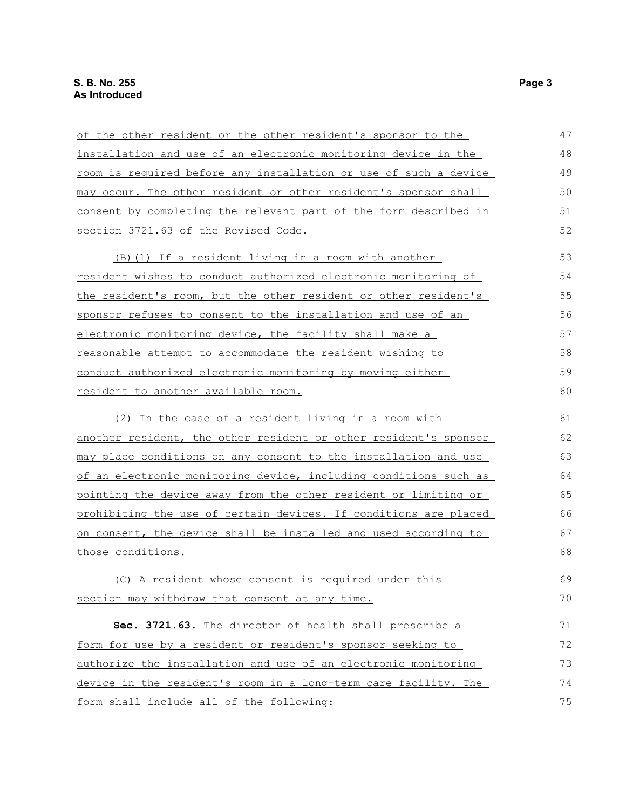| of the other resident or the other resident's sponsor to the            | 47 |
|-------------------------------------------------------------------------|----|
| installation and use of an electronic monitoring device in the          | 48 |
| <u>room is required before any installation or use of such a device</u> | 49 |
| may occur. The other resident or other resident's sponsor shall         | 50 |
| consent by completing the relevant part of the form described in        | 51 |
| section 3721.63 of the Revised Code.                                    | 52 |
| (B) (1) If a resident living in a room with another                     | 53 |
| <u>resident wishes to conduct authorized electronic monitoring of</u>   | 54 |
| the resident's room, but the other resident or other resident's         | 55 |
| sponsor refuses to consent to the installation and use of an            | 56 |
| electronic monitoring device, the facility shall make a                 | 57 |
| reasonable attempt to accommodate the resident wishing to               | 58 |
| conduct authorized electronic monitoring by moving either               | 59 |
| resident to another available room.                                     | 60 |
| (2) In the case of a resident living in a room with                     | 61 |
| another resident, the other resident or other resident's sponsor        | 62 |
| may place conditions on any consent to the installation and use         | 63 |
| of an electronic monitoring device, including conditions such as        | 64 |
| pointing the device away from the other resident or limiting or         | 65 |
| prohibiting the use of certain devices. If conditions are placed        | 66 |
| on consent, the device shall be installed and used according to         | 67 |
| those conditions.                                                       | 68 |
| (C) A resident whose consent is required under this                     | 69 |
| section may withdraw that consent at any time.                          | 70 |
| Sec. 3721.63. The director of health shall prescribe a                  | 71 |
| form for use by a resident or resident's sponsor seeking to             | 72 |
| authorize the installation and use of an electronic monitoring          | 73 |
| device in the resident's room in a long-term care facility. The         | 74 |
| form shall include all of the following:                                | 75 |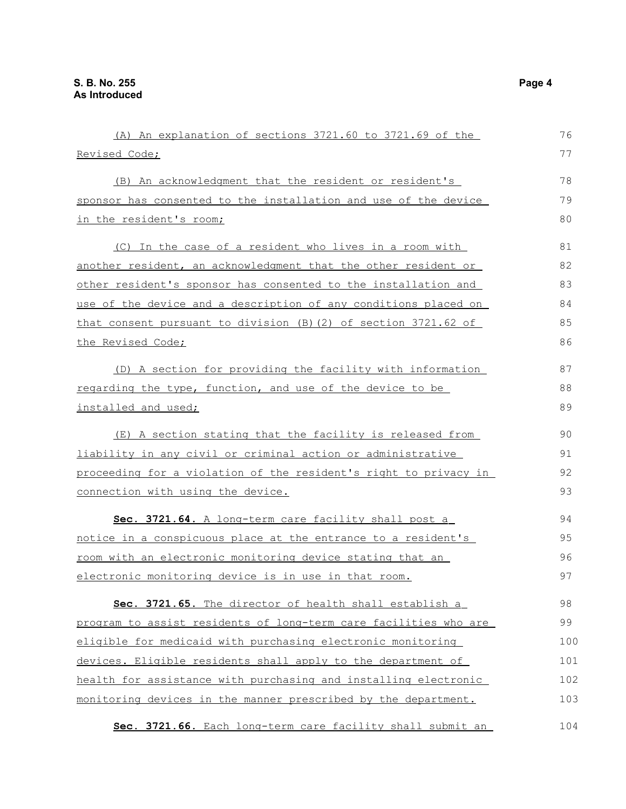(A) An explanation of sections 3721.60 to 3721.69 of the Revised Code; (B) An acknowledgment that the resident or resident's sponsor has consented to the installation and use of the device in the resident's room; (C) In the case of a resident who lives in a room with another resident, an acknowledgment that the other resident or other resident's sponsor has consented to the installation and use of the device and a description of any conditions placed on that consent pursuant to division (B)(2) of section 3721.62 of the Revised Code; (D) A section for providing the facility with information regarding the type, function, and use of the device to be installed and used; (E) A section stating that the facility is released from liability in any civil or criminal action or administrative proceeding for a violation of the resident's right to privacy in connection with using the device. **Sec. 3721.64.** A long-term care facility shall post a notice in a conspicuous place at the entrance to a resident's room with an electronic monitoring device stating that an electronic monitoring device is in use in that room. **Sec. 3721.65.** The director of health shall establish a program to assist residents of long-term care facilities who are eligible for medicaid with purchasing electronic monitoring devices. Eligible residents shall apply to the department of health for assistance with purchasing and installing electronic monitoring devices in the manner prescribed by the department. 76 77 78 79 80 81 82 83 84 85 86 87 88 89 90 91 92 93 94 95 96 97 98 99 100 101 102 103

 **Sec. 3721.66.** Each long-term care facility shall submit an 104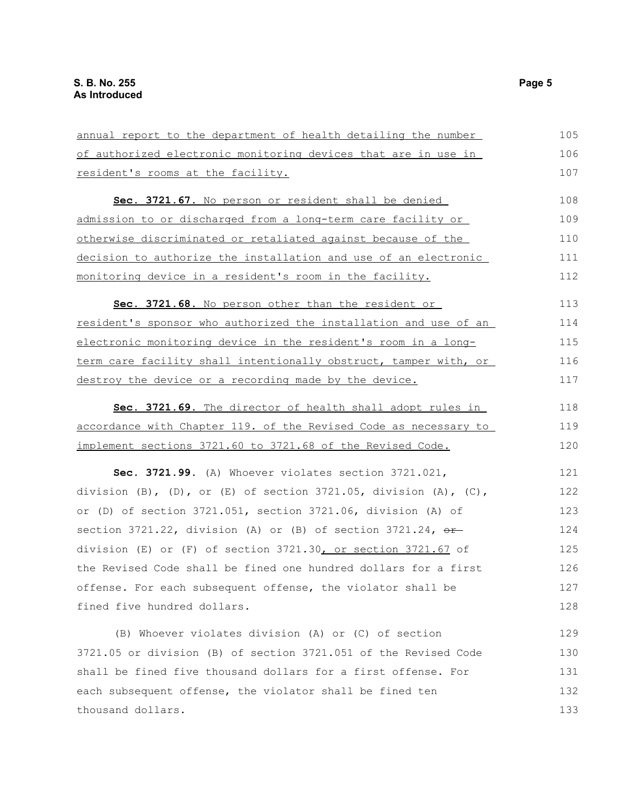| annual report to the department of health detailing the number                 | 105 |
|--------------------------------------------------------------------------------|-----|
| of authorized electronic monitoring devices that are in use in                 | 106 |
| resident's rooms at the facility.                                              | 107 |
| Sec. 3721.67. No person or resident shall be denied                            | 108 |
| <u>admission to or discharged from a long-term care facility or </u>           | 109 |
| otherwise discriminated or retaliated against because of the                   | 110 |
| decision to authorize the installation and use of an electronic                | 111 |
| <u>monitoring device in a resident's room in the facility.</u>                 | 112 |
| Sec. 3721.68. No person other than the resident or                             | 113 |
| resident's sponsor who authorized the installation and use of an               | 114 |
| electronic monitoring device in the resident's room in a long-                 | 115 |
| <u>term care facility shall intentionally obstruct, tamper with, or </u>       | 116 |
| destroy the device or a recording made by the device.                          | 117 |
| Sec. 3721.69. The director of health shall adopt rules in                      | 118 |
| accordance with Chapter 119. of the Revised Code as necessary to               | 119 |
| <u>implement sections 3721.60 to 3721.68 of the Revised Code.</u>              | 120 |
| Sec. 3721.99. (A) Whoever violates section 3721.021,                           | 121 |
| division $(B)$ , $(D)$ , or $(E)$ of section 3721.05, division $(A)$ , $(C)$ , | 122 |
| or (D) of section 3721.051, section 3721.06, division (A) of                   | 123 |
| section 3721.22, division (A) or (B) of section 3721.24, $\theta$ f-           | 124 |
| division (E) or (F) of section 3721.30, or section 3721.67 of                  | 125 |
| the Revised Code shall be fined one hundred dollars for a first                | 126 |
| offense. For each subsequent offense, the violator shall be                    | 127 |
| fined five hundred dollars.                                                    | 128 |
| (B) Whoever violates division (A) or (C) of section                            | 129 |
| 3721.05 or division (B) of section 3721.051 of the Revised Code                | 130 |
| shall be fined five thousand dollars for a first offense. For                  | 131 |
| each subsequent offense, the violator shall be fined ten                       | 132 |
| thousand dollars.                                                              | 133 |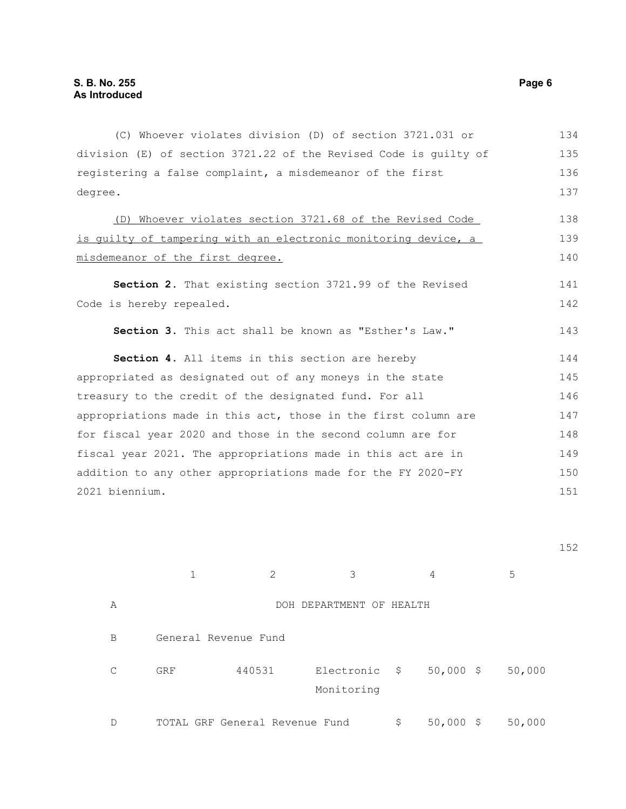(C) Whoever violates division (D) of section 3721.031 or division (E) of section 3721.22 of the Revised Code is guilty of registering a false complaint, a misdemeanor of the first degree. (D) Whoever violates section 3721.68 of the Revised Code is guilty of tampering with an electronic monitoring device, a misdemeanor of the first degree. **Section 2.** That existing section 3721.99 of the Revised Code is hereby repealed. **Section 3.** This act shall be known as "Esther's Law." **Section 4.** All items in this section are hereby appropriated as designated out of any moneys in the state treasury to the credit of the designated fund. For all appropriations made in this act, those in the first column are for fiscal year 2020 and those in the second column are for fiscal year 2021. The appropriations made in this act are in addition to any other appropriations made for the FY 2020-FY 2021 biennium. 134 135 136 137 138 139 140 141 142 143 144 145 146 147 148 149 150 151

1 2 3 4 5 A DOH DEPARTMENT OF HEALTH B General Revenue Fund C GRF 440531 Electronic \$ Monitoring \$ 50,000 \$ 50,000 D TOTAL GRF General Revenue Fund  $$50,000 \$ 50,000$ 

152